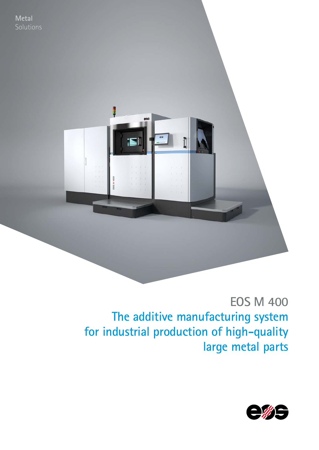**EOS M 400 The additive manufacturing system for industrial production of high-quality large metal parts**